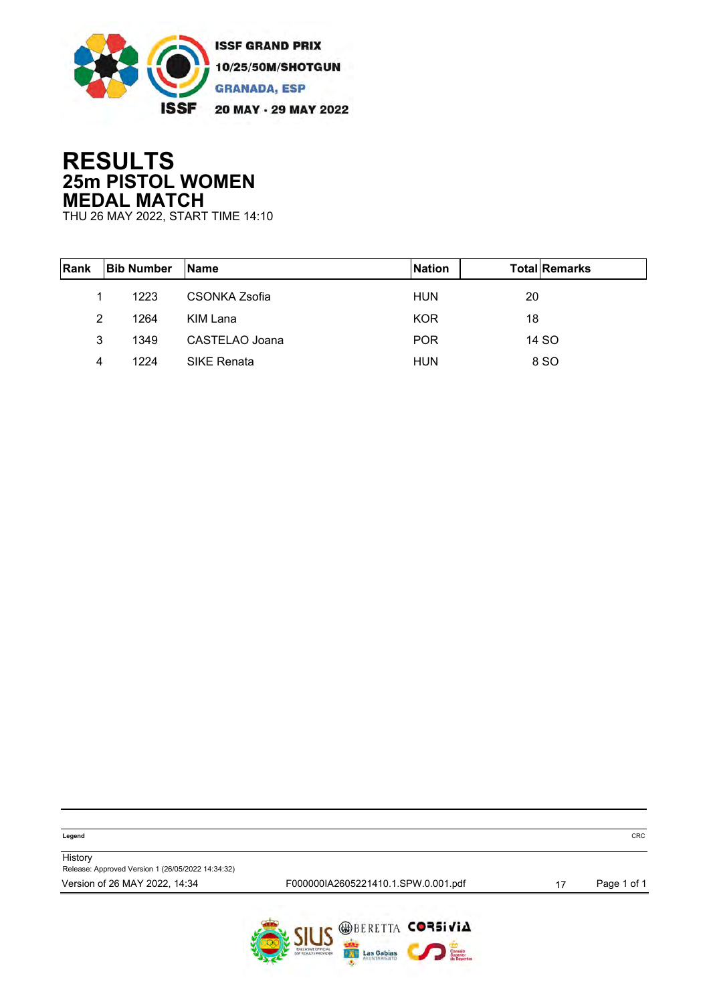

### **RESULTS 25m PISTOL WOMEN MEDAL MATCH**

THU 26 MAY 2022, START TIME 14:10

| <b>Rank</b> | <b>Bib Number</b> | <b>Name</b>        | <b>Nation</b> | <b>Total Remarks</b> |
|-------------|-------------------|--------------------|---------------|----------------------|
|             | 1223              | CSONKA Zsofia      | <b>HUN</b>    | 20                   |
| 2           | 1264              | KIM Lana           | <b>KOR</b>    | 18                   |
| 3           | 1349              | CASTELAO Joana     | <b>POR</b>    | 14 SO                |
| 4           | 1224              | <b>SIKE Renata</b> | <b>HUN</b>    | 8 SO                 |

| Legend                                                       |                                     | <b>CRC</b>  |
|--------------------------------------------------------------|-------------------------------------|-------------|
| History<br>Release: Approved Version 1 (26/05/2022 14:34:32) |                                     |             |
| Version of 26 MAY 2022, 14:34                                | F000000IA2605221410.1.SPW.0.001.pdf | Page 1 of 1 |
|                                                              | <b>CILIC WBERETTA CORSIVIA</b>      |             |

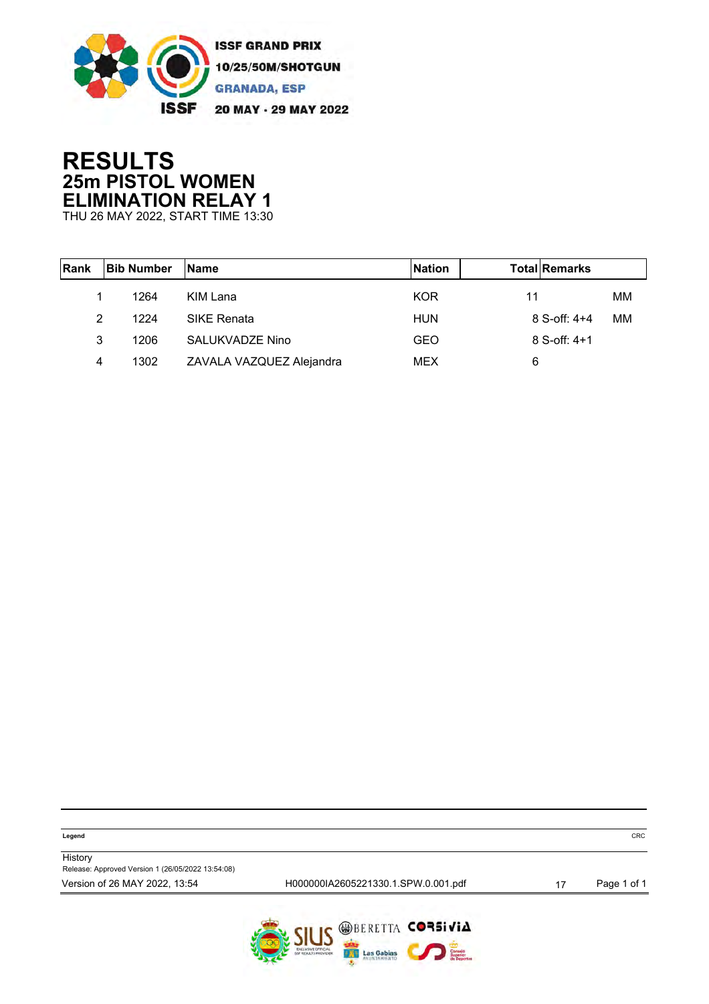

# **RESULTS 25m PISTOL WOMEN ELIMINATION RELAY 1**

THU 26 MAY 2022, START TIME 13:30

| Rank | <b>Bib Number</b> | <b>Name</b>              | <b>Nation</b> | <b>Total Remarks</b> |    |
|------|-------------------|--------------------------|---------------|----------------------|----|
|      | 1264              | KIM Lana                 | <b>KOR</b>    | 11                   | MМ |
| 2    | 1224              | <b>SIKE Renata</b>       | <b>HUN</b>    | $8$ S-off: $4+4$     | MМ |
| 3    | 1206              | SALUKVADZE Nino          | GEO           | $8$ S-off: $4+1$     |    |
| 4    | 1302              | ZAVALA VAZQUEZ Alejandra | <b>MEX</b>    | 6                    |    |

| Legend | $\sim$ $\sim$<br>. .<br>いへし |
|--------|-----------------------------|

**History** Release: Approved Version 1 (26/05/2022 13:54:08)

Version of 26 MAY 2022, 13:54 <br>
H000000IA2605221330.1.SPW.0.001.pdf 17 Page 1 of 1

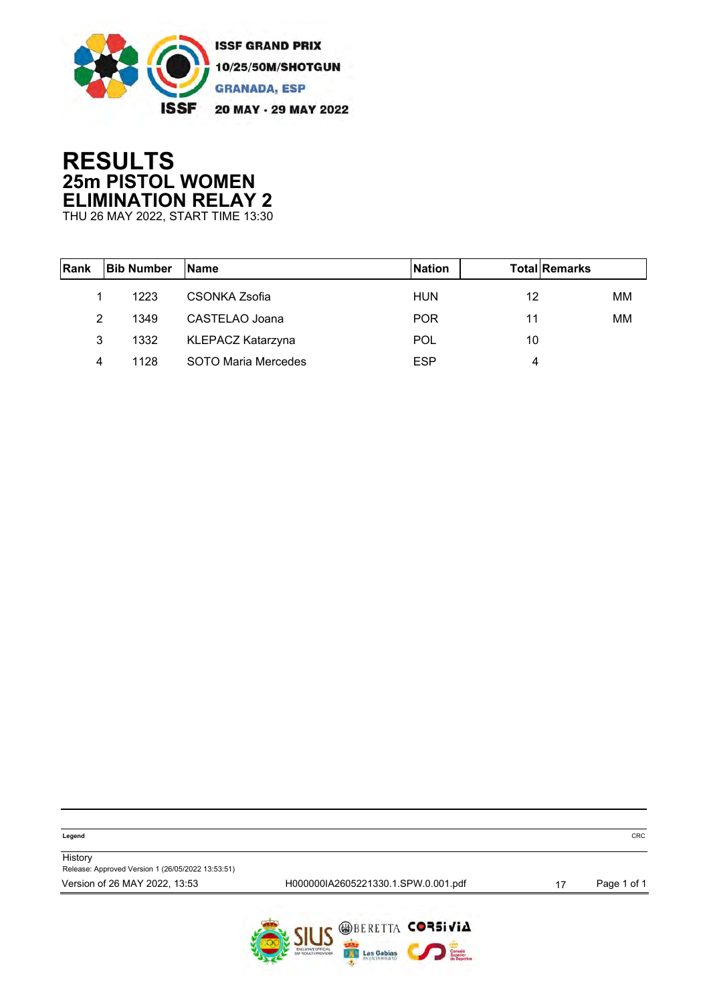

## **RESULTS 25m PISTOL WOMEN ELIMINATION RELAY 2**

THU 26 MAY 2022, START TIME 13:30

| <b>IRank</b> | <b>Bib Number</b> | <b>Name</b>              | <b>Nation</b> | <b>Total Remarks</b> |    |
|--------------|-------------------|--------------------------|---------------|----------------------|----|
|              | 1223              | CSONKA Zsofia            | HUN           | 12                   | MМ |
| 2            | 1349              | CASTELAO Joana           | <b>POR</b>    | 11                   | MМ |
| 3            | 1332              | <b>KLEPACZ Katarzyna</b> | <b>POL</b>    | 10                   |    |
| 4            | 1128              | SOTO Maria Mercedes      | <b>ESP</b>    | 4                    |    |

| Legend                                                       |                                     |    | <b>CRC</b>  |
|--------------------------------------------------------------|-------------------------------------|----|-------------|
| History<br>Release: Approved Version 1 (26/05/2022 13:53:51) |                                     |    |             |
| Version of 26 MAY 2022, 13:53                                | H000000IA2605221330.1.SPW.0.001.pdf | 17 | Page 1 of 1 |
|                                                              | CH IC WBERETTA CORSIVIA             |    |             |

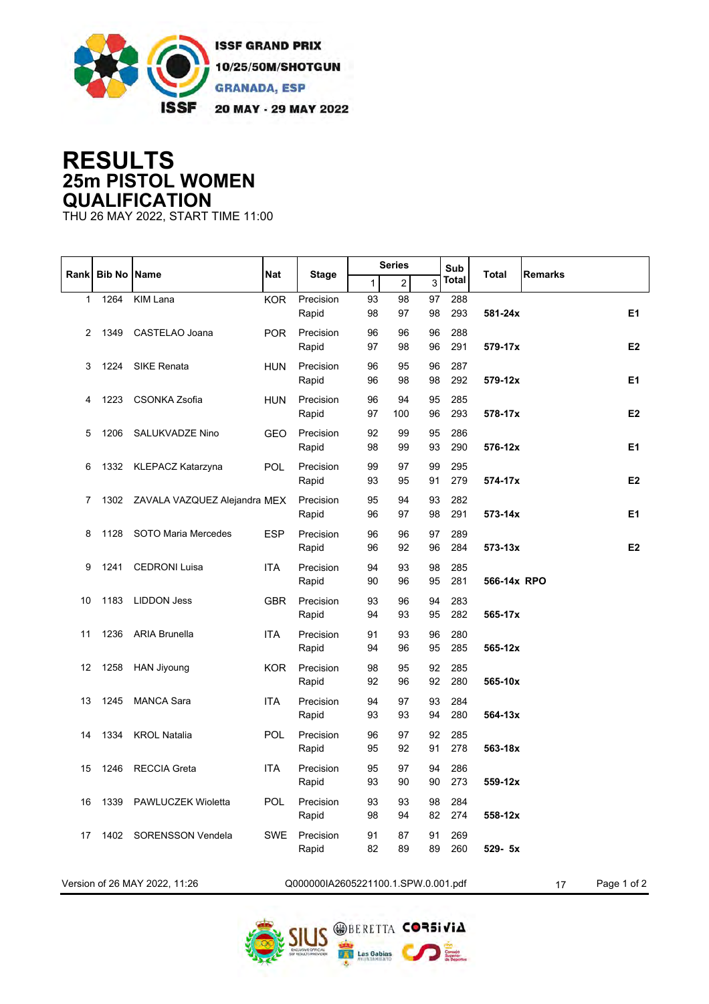

#### **RESULTS 25m PISTOL WOMEN QUALIFICATION**

THU 26 MAY 2022, START TIME 11:00

|              |                    |                                   |            |                                     | <b>Series</b> |                |          | Sub          |              |                |                |
|--------------|--------------------|-----------------------------------|------------|-------------------------------------|---------------|----------------|----------|--------------|--------------|----------------|----------------|
| Rank         | <b>Bib No Name</b> |                                   | Nat        | <b>Stage</b>                        | $\mathbf{1}$  | $\overline{c}$ | 3        | <b>Total</b> | <b>Total</b> | <b>Remarks</b> |                |
| $\mathbf{1}$ | 1264               | <b>KIM Lana</b>                   | <b>KOR</b> | Precision                           | 93            | 98             | 97       | 288          |              |                |                |
|              |                    |                                   |            | Rapid                               | 98            | 97             | 98       | 293          | 581-24x      |                | E1             |
| 2            | 1349               | CASTELAO Joana                    | <b>POR</b> | Precision                           | 96            | 96             | 96       | 288          |              |                |                |
|              |                    |                                   |            | Rapid                               | 97            | 98             | 96       | 291          | 579-17x      |                | E2             |
| 3            | 1224               | <b>SIKE Renata</b>                | <b>HUN</b> | Precision                           | 96            | 95             | 96       | 287          |              |                |                |
|              |                    |                                   |            | Rapid                               | 96            | 98             | 98       | 292          | 579-12x      |                | E <sub>1</sub> |
| 4            | 1223               | <b>CSONKA Zsofia</b>              | <b>HUN</b> | Precision                           | 96            | 94             | 95       | 285          |              |                |                |
|              |                    |                                   |            | Rapid                               | 97            | 100            | 96       | 293          | 578-17x      |                | E <sub>2</sub> |
| 5            | 1206               | SALUKVADZE Nino                   | <b>GEO</b> | Precision                           | 92            | 99             | 95       | 286          |              |                |                |
|              |                    |                                   |            | Rapid                               | 98            | 99             | 93       | 290          | 576-12x      |                | E <sub>1</sub> |
| 6            |                    | 1332 KLEPACZ Katarzyna            | <b>POL</b> | Precision                           | 99            | 97             | 99<br>91 | 295          | 574-17x      |                | E <sub>2</sub> |
|              |                    |                                   |            | Rapid                               | 93            | 95             |          | 279          |              |                |                |
| 7            |                    | 1302 ZAVALA VAZQUEZ Alejandra MEX |            | Precision<br>Rapid                  | 95<br>96      | 94<br>97       | 93<br>98 | 282<br>291   | 573-14x      |                | E1             |
|              |                    |                                   |            |                                     |               |                |          |              |              |                |                |
| 8            |                    | 1128 SOTO Maria Mercedes          | <b>ESP</b> | Precision<br>Rapid                  | 96<br>96      | 96<br>92       | 97<br>96 | 289<br>284   | 573-13x      |                | E <sub>2</sub> |
|              |                    |                                   |            |                                     |               |                |          |              |              |                |                |
| 9            | 1241               | <b>CEDRONI Luisa</b>              | <b>ITA</b> | Precision<br>Rapid                  | 94<br>90      | 93<br>96       | 98<br>95 | 285<br>281   | 566-14x RPO  |                |                |
| 10           | 1183               | <b>LIDDON Jess</b>                | <b>GBR</b> | Precision                           | 93            | 96             | 94       | 283          |              |                |                |
|              |                    |                                   |            | Rapid                               | 94            | 93             | 95       | 282          | 565-17x      |                |                |
| 11           |                    | 1236 ARIA Brunella                | <b>ITA</b> | Precision                           | 91            | 93             | 96       | 280          |              |                |                |
|              |                    |                                   |            | Rapid                               | 94            | 96             | 95       | 285          | 565-12x      |                |                |
| 12           | 1258               | <b>HAN Jiyoung</b>                | <b>KOR</b> | Precision                           | 98            | 95             | 92       | 285          |              |                |                |
|              |                    |                                   |            | Rapid                               | 92            | 96             | 92       | 280          | 565-10x      |                |                |
| 13           | 1245               | <b>MANCA Sara</b>                 | <b>ITA</b> | Precision                           | 94            | 97             | 93       | 284          |              |                |                |
|              |                    |                                   |            | Rapid                               | 93            | 93             | 94       | 280          | $564 - 13x$  |                |                |
| 14           | 1334               | <b>KROL Natalia</b>               | POL        | Precision                           | 96            | 97             | 92       | 285          |              |                |                |
|              |                    |                                   |            | Rapid                               | 95            | 92             | 91       | 278          | 563-18x      |                |                |
| 15           | 1246               | <b>RECCIA Greta</b>               | <b>ITA</b> | Precision                           | 95            | 97             | 94       | 286          |              |                |                |
|              |                    |                                   |            | Rapid                               | 93            | 90             | 90       | 273          | 559-12x      |                |                |
| 16           |                    | 1339 PAWLUCZEK Wioletta           | POL        | Precision                           | 93            | 93             | 98       | 284          |              |                |                |
|              |                    |                                   |            | Rapid                               | 98            | 94             | 82       | 274          | 558-12x      |                |                |
| 17           |                    | 1402 SORENSSON Vendela            | <b>SWE</b> | Precision                           | 91            | 87             | 91       | 269          |              |                |                |
|              |                    |                                   |            | Rapid                               | 82            | 89             | 89       | 260          | 529- 5x      |                |                |
|              |                    | Version of 26 MAY 2022, 11:26     |            | Q000000IA2605221100.1.SPW.0.001.pdf |               |                |          |              |              | 17             | Page 1 of 2    |